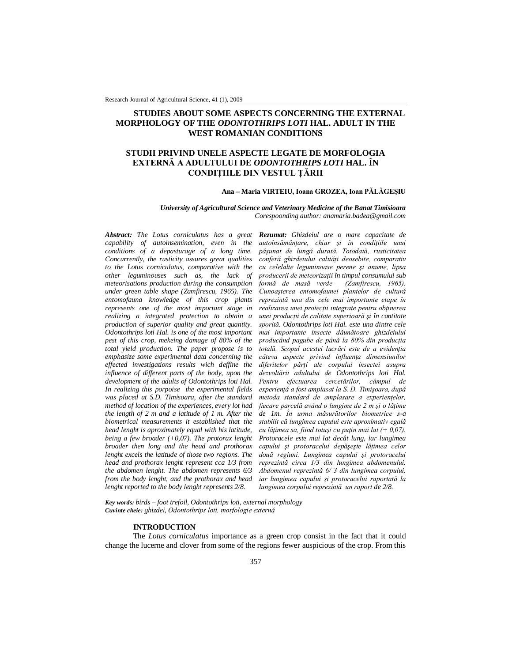Research Journal of Agricultural Science, 41 (1), 2009

# **STUDIES ABOUT SOME ASPECTS CONCERNING THE EXTERNAL MORPHOLOGY OF THE** *ODONTOTHRIPS LOTI* **HAL. ADULT IN THE WEST ROMANIAN CONDITIONS**

## **STUDII PRIVIND UNELE ASPECTE LEGATE DE MORFOLOGIA EXTERNĂ A ADULTULUI DE** *ODONTOTHRIPS LOTI* **HAL. ÎN CONDIŢIILE DIN VESTUL ŢĂRII**

### **Ana – Maria VIRTEIU, Ioana GROZEA, Ioan PĂLĂGEŞIU**

*University of Agricultural Science and Veterinary Medicine of the Banat Timisioara Corespoonding author: anamaria.badea@gmail.com*

*Abstract: The Lotus corniculatus has a great capability of autoinsemination, even in the conditions of a depasturage of a long time. Concurrently, the rusticity assures great qualities to the Lotus corniculatus, comparative with the other leguminouses such as, the lack of meteorisations production during the consumption under green table shape (Zamfirescu, 1965). The entomofauna knowledge of this crop plants represents one of the most important stage in realizing a integrated protection to obtain a production of superior quality and great quantity. Odontothrips loti Hal. is one of the most important pest of this crop, mekeing damage of 80% of the total yield production. The paper propose is to emphasize some experimental data concerning the effected investigations results wich deffine the influence of different parts of the body, upon the development of the adults of Odontothrips loti Hal. In realizing this porpoise the experimental fields was placed at S.D. Timisoara, after the standard method of location of the experiences, every lot had the length of 2 m and a latitude of 1 m. After the biometrical measurements it established that the head lenght is aproximately equal with his latitude, being a few broader (+0,07). The protorax lenght broader then long and the head and prothorax lenght excels the latitude of those two regions. The head and prothorax lenght represent cca 1/3 from the abdomen lenght. The abdomen represents 6/3 from the body lenght, and the prothorax and head lenght reported to the body lenght represents 2/8.*

*Rezumat: Ghizdeiul are o mare capacitate de autoînsămânţare, chiar şi în condiţiile unui păşunat de lungă durată. Totodată, rusticitatea conferă ghizdeiului calităţi deosebite, comparativ cu celelalte leguminoase perene şi anume, lipsa producerii de meteorizaţii în timpul consumului sub formă de masă verde Cunoaşterea entomofaunei plantelor de cultură reprezintă una din cele mai importante etape în realizarea unei protecţii integrate pentru obţinerea unei producţii de calitate superioară şi în cantitate sporită. Odontothrips loti Hal. este una dintre cele mai importante insecte dăunătoare ghizdeiului producând pagube de până la 80% din producţia totală. Scopul acestei lucrări este de a evidenţia câteva aspecte privind influenţa dimensiunilor diferitelor părţi ale corpului insectei asupra dezvoltării adultului de Odontothrips loti Hal. Pentru efectuarea cercetărilor, câmpul de experienţă a fost amplasat la S. D. Timişoara, după metoda standard de amplasare a experienţelor, fiecare parcelă având o lungime de 2 m şi o lăţime de 1m. În urma măsurătorilor biometrice s-a stabilit că lungimea capului este aproximativ egală cu lăţimea sa, fiind totuşi cu puţin mai lat (+ 0,07). Protoracele este mai lat decât lung, iar lungimea capului şi protoracelui depăşeşte lăţimea celor două regiuni. Lungimea capului şi protoracelui reprezintă circa 1/3 din lungimea abdomenului. Abdomenul reprezintă 6/ 3 din lungimea corpului, iar lungimea capului şi protoracelui raportată la lungimea corpului reprezintă un raport de 2/8.*

*Key words: birds – foot trefoil, Odontothrips loti, external morphology Cuvinte cheie: ghizdei, Odontothrips loti, morfologie externă*

### **INTRODUCTION**

The *Lotus corniculatus* importance as a green crop consist in the fact that it could change the lucerne and clover from some of the regions fewer auspicious of the crop. From this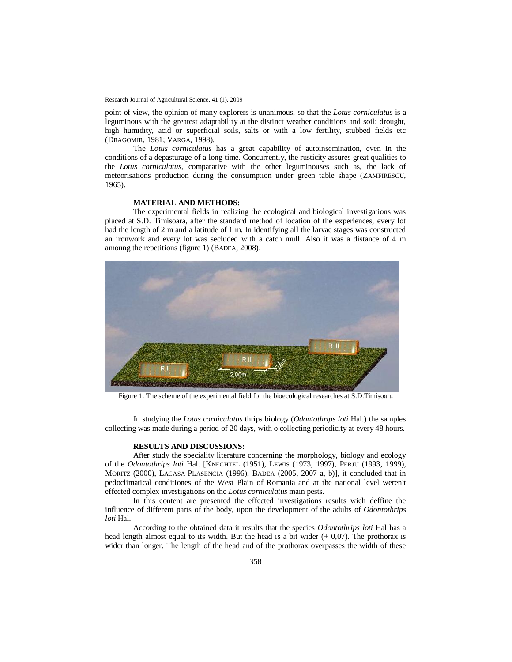point of view, the opinion of many explorers is unanimous, so that the *Lotus corniculatus* is a leguminous with the greatest adaptability at the distinct weather conditions and soil: drought, high humidity, acid or superficial soils, salts or with a low fertility, stubbed fields etc (DRAGOMIR, 1981; VARGA, 1998).

The *Lotus corniculatus* has a great capability of autoinsemination, even in the conditions of a depasturage of a long time. Concurrently, the rusticity assures great qualities to the *Lotus corniculatus,* comparative with the other leguminouses such as, the lack of meteorisations production during the consumption under green table shape (ZAMFIRESCU, 1965).

## **MATERIAL AND METHODS:**

The experimental fields in realizing the ecological and biological investigations was placed at S.D. Timisoara, after the standard method of location of the experiences, every lot had the length of 2 m and a latitude of 1 m. In identifying all the larvae stages was constructed an ironwork and every lot was secluded with a catch mull. Also it was a distance of 4 m amoung the repetitions (figure 1) (BADEA, 2008).



Figure 1. The scheme of the experimental field for the bioecological researches at S.D.Timişoara

In studying the *Lotus corniculatus* thrips biology (*Odontothrips loti* Hal.) the samples collecting was made during a period of 20 days, with o collecting periodicity at every 48 hours.

## **RESULTS AND DISCUSSIONS:**

After study the speciality literature concerning the morphology, biology and ecology of the *Odontothrips loti* Hal. [KNECHTEL (1951), LEWIS (1973, 1997), PERJU (1993, 1999), MORITZ (2000), LACASA PLASENCIA (1996), BADEA (2005, 2007 a, b)], it concluded that in pedoclimatical conditiones of the West Plain of Romania and at the national level weren't effected complex investigations on the *Lotus corniculatus* main pests.

In this content are presented the effected investigations results wich deffine the influence of different parts of the body, upon the development of the adults of *Odontothrips loti* Hal.

According to the obtained data it results that the species *Odontothrips loti* Hal has a head length almost equal to its width. But the head is a bit wider  $(+ 0.07)$ . The prothorax is wider than longer. The length of the head and of the prothorax overpasses the width of these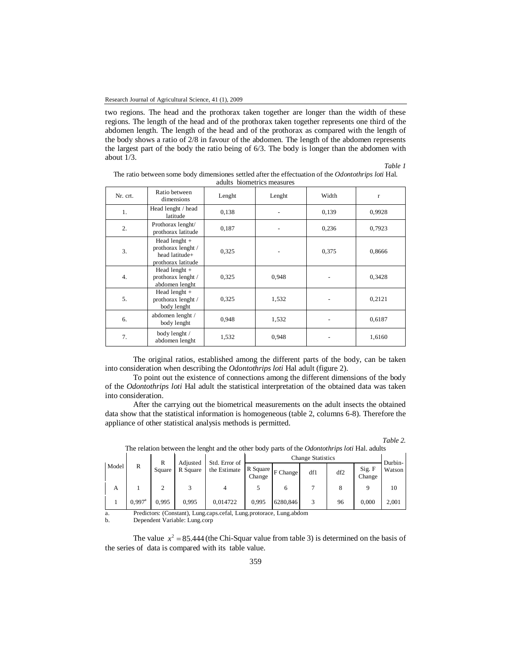two regions. The head and the prothorax taken together are longer than the width of these regions. The length of the head and of the prothorax taken together represents one third of the abdomen length. The length of the head and of the prothorax as compared with the length of the body shows a ratio of 2/8 in favour of the abdomen. The length of the abdomen represents the largest part of the body the ratio being of 6/3. The body is longer than the abdomen with about  $1/3$ .

*Table 1*

| Nr. crt. | Ratio between<br>dimensions                                                   | Lenght | Lenght | Width | r      |
|----------|-------------------------------------------------------------------------------|--------|--------|-------|--------|
| 1.       | Head lenght / head<br>latitude                                                | 0,138  |        | 0,139 | 0,9928 |
| 2.       | Prothorax lenght/<br>prothorax latitude                                       | 0,187  |        | 0,236 | 0,7923 |
| 3.       | Head lenght $+$<br>prothorax lenght /<br>head latitude+<br>prothorax latitude | 0,325  |        | 0,375 | 0,8666 |
| 4.       | Head lenght +<br>prothorax lenght /<br>abdomen lenght                         | 0,325  | 0,948  |       | 0,3428 |
| 5.       | Head lenght $+$<br>prothorax lenght /<br>body lenght                          | 0,325  | 1,532  |       | 0,2121 |
| 6.       | abdomen lenght /<br>body lenght                                               | 0,948  | 1,532  |       | 0,6187 |
| 7.       | body lenght /<br>abdomen lenght                                               | 1,532  | 0,948  |       | 1,6160 |

The ratio between some body dimensiones settled after the effectuation of the *Odontothrips loti* Hal. adults biometrics measures

The original ratios, established among the different parts of the body, can be taken into consideration when describing the *Odontothrips loti* Hal adult (figure 2).

To point out the existence of connections among the different dimensions of the body of the *Odontothrips loti* Hal adult the statistical interpretation of the obtained data was taken into consideration.

After the carrying out the biometrical measurements on the adult insects the obtained data show that the statistical information is homogeneous (table 2, columns 6-8). Therefore the appliance of other statistical analysis methods is permitted.

| able |  |
|------|--|
|      |  |

|       | The relation occurrent and religiously office outer overy parts of the outstanding four flam addition |                      |          |               |                    |          |                          |     |                  |         |       |
|-------|-------------------------------------------------------------------------------------------------------|----------------------|----------|---------------|--------------------|----------|--------------------------|-----|------------------|---------|-------|
| Model |                                                                                                       | R                    | Adjusted | Std. Error of |                    |          | <b>Change Statistics</b> |     |                  | Durbin- |       |
|       | R                                                                                                     | Square               | R Square | the Estimate  | R Square<br>Change | F Change | df1                      | df2 | Sig. F<br>Change | Watson  |       |
|       | А                                                                                                     |                      |          |               |                    |          |                          |     |                  |         | 10    |
|       |                                                                                                       | $0.997$ <sup>a</sup> | 0.995    | 0.995         | 0,014722           | 0.995    | 6280,846                 | 3   | 96               | 0.000   | 2.001 |
|       | Dradiatoral (Constant). Lung agno gafal. Lung protorgan. Lung abdom<br>$\sim$                         |                      |          |               |                    |          |                          |     |                  |         |       |

The relation between the lenght and the other body parts of the *Odontothrips loti* Hal. adults

a. Predictors: (Constant), Lung.caps.cefal, Lung.protorace, Lung.abdom<br>b. Dependent Variable: Lung.corp

b. Dependent Variable: Lung.corp

The value  $x^2 = 85.444$  (the Chi-Squar value from table 3) is determined on the basis of the series of data is compared with its table value.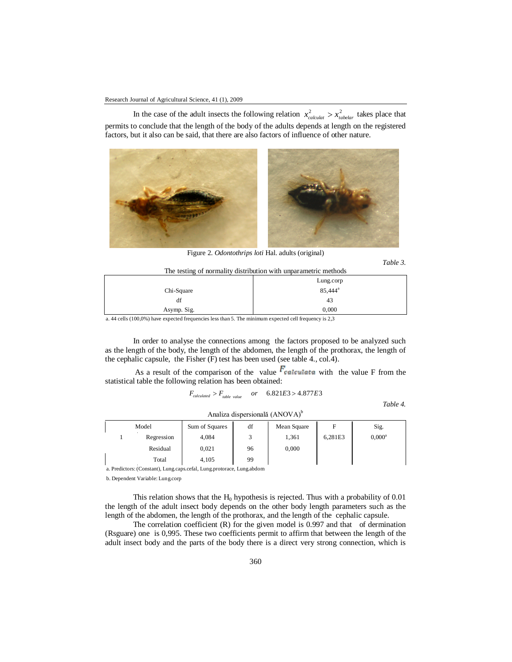In the case of the adult insects the following relation  $x_{calculated}^2 > x_{labelar}^2$  takes place that permits to conclude that the length of the body of the adults depends at length on the registered factors, but it also can be said, that there are also factors of influence of other nature.



Figure 2. *Odontothrips loti* Hal. adults (original)

*Table 3*.

| The testing of normality distribution with unparametric methods |                     |  |  |  |  |  |
|-----------------------------------------------------------------|---------------------|--|--|--|--|--|
| Lung.corp                                                       |                     |  |  |  |  |  |
| Chi-Square                                                      | 85.444 <sup>a</sup> |  |  |  |  |  |
| df                                                              | 43                  |  |  |  |  |  |
| Asymp. Sig.                                                     | 0.000               |  |  |  |  |  |

a. 44 cells (100,0%) have expected frequencies less than 5. The minimum expected cell frequency is 2,3

In order to analyse the connections among the factors proposed to be analyzed such as the length of the body, the length of the abdomen, the length of the prothorax, the length of the cephalic capsule, the Fisher (F) test has been used (see table 4., col.4).

As a result of the comparison of the value  $F_{\text{calculated}}$  with the value F from the statistical table the following relation has been obtained:

$$
F_{calculated} > F_{table \ value} \quad or \quad 6.821E3 > 4.877E3
$$

Analiza dispersională (ANOVA)<sup>b</sup>

*Table 4.*

| Model |            | Sum of Squares | df | Mean Square |         | Sig.      |
|-------|------------|----------------|----|-------------|---------|-----------|
|       | Regression | 4,084          |    | 1,361       | 6,281E3 | $0,000^a$ |
|       | Residual   | 0,021          | 96 | 0,000       |         |           |
|       | Total      | 4.105          | 99 |             |         |           |

a. Predictors: (Constant), Lung.caps.cefal, Lung.protorace, Lung.abdom

b. Dependent Variable: Lung.corp

This relation shows that the  $H_0$  hypothesis is rejected. Thus with a probability of 0.01 the length of the adult insect body depends on the other body length parameters such as the length of the abdomen, the length of the prothorax, and the length of the cephalic capsule.

The correlation coefficient (R) for the given model is 0.997 and that of dermination (Rsguare) one is 0,995. These two coefficients permit to affirm that between the length of the adult insect body and the parts of the body there is a direct very strong connection, which is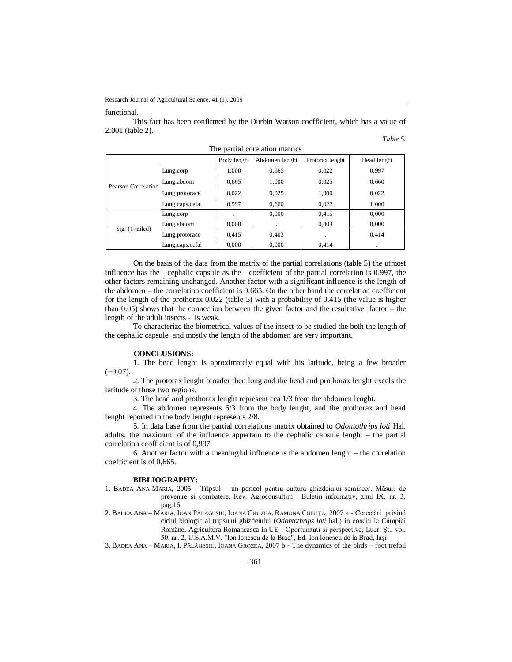#### functional.

This fact has been confirmed by the Durbin Watson coefficient, which has a value of 2.001 (table 2).

*Table 5.*

| The partial corelation matrico |                 |             |                |                 |             |  |  |
|--------------------------------|-----------------|-------------|----------------|-----------------|-------------|--|--|
|                                |                 | Body lenght | Abdomen lenght | Protorax lenght | Head lenght |  |  |
|                                | Lung.corp       | 1,000       | 0,665          | 0,022           | 0.997       |  |  |
| Pearson Correlation            | Lung.abdom      | 0,665       | 1,000          | 0,025           | 0,660       |  |  |
|                                | Lung.protorace  | 0,022       | 0,025          | 1,000           | 0,022       |  |  |
|                                | Lung.caps.cefal | 0,997       | 0,660          | 0,022           | 1,000       |  |  |
|                                | Lung.corp       |             | 0,000          | 0,415           | 0,000       |  |  |
| $Sig.$ (1-tailed)              | Lung.abdom      | 0,000       |                | 0,403           | 0,000       |  |  |
|                                | Lung.protorace  | 0,415       | 0,403          |                 | 0,414       |  |  |
|                                | Lung.caps.cefal | 0,000       | 0,000          | 0.414           | ٠           |  |  |

The partial corelation matrics

On the basis of the data from the matrix of the partial correlations (table 5) the utmost influence has the cephalic capsule as the coefficient of the partial correlation is 0.997, the other factors remaining unchanged. Another factor with a significant influence is the length of the abdomen – the correlation coefficient is 0.665. On the other hand the correlation coefficient for the length of the prothorax 0.022 (table 5) with a probability of 0.415 (the value is higher than 0.05) shows that the connection between the given factor and the resultative factor – the length of the adult insects - is weak.

To characterize the biometrical values of the insect to be studied the both the length of the cephalic capsule and mostly the length of the abdomen are very important.

### **CONCLUSIONS:**

1. The head lenght is aproximately equal with his latitude, being a few broader  $(+0,07)$ .

2. The protorax lenght broader then long and the head and prothorax lenght excels the latitude of those two regions.

3. The head and prothorax lenght represent cca 1/3 from the abdomen lenght.

4. The abdomen represents 6/3 from the body lenght, and the prothorax and head lenght reported to the body lenght represents 2/8.

5. In data base from the partial correlations matrix obtained to *Odontothrips loti* Hal. adults, the maximum of the influence appertain to the cephalic capsule lenght – the partial correlation ceofficient is of 0,997.

6. Another factor with a meaningful influence is the abdomen lenght – the correlation coefficient is of 0,665.

## **BIBLIOGRAPHY:**

- 1. BADEA ANA-MARIA, 2005 Tripsul un pericol pentru cultura ghizdeiului semincer. Măsuri de prevenire şi combatere, Rev. Agroconsultim . Buletin informativ, anul IX, nr. 3, pag.16
- 2. BADEA ANA MARIA, IOAN PĂLĂGEŞIU, IOANA GROZEA, RAMONA CHIRIŢĂ, 2007 a Cercetări privind ciclul biologic al tripsului ghizdeiului (*Odontothrips loti* hal.) în condiţiile Câmpiei Române, Agricultura Romaneasca in UE - Oportunitati si perspective, Lucr. Şt., vol. 50, nr. 2, U.S.A.M.V. "Ion Ionescu de la Brad", Ed. Ion Ionescu de la Brad, Iaşi

3. BADEA ANA – MARIA, I. PĂLĂGEŞIU, IOANA GROZEA, 2007 b - The dynamics of the birds – foot trefoil